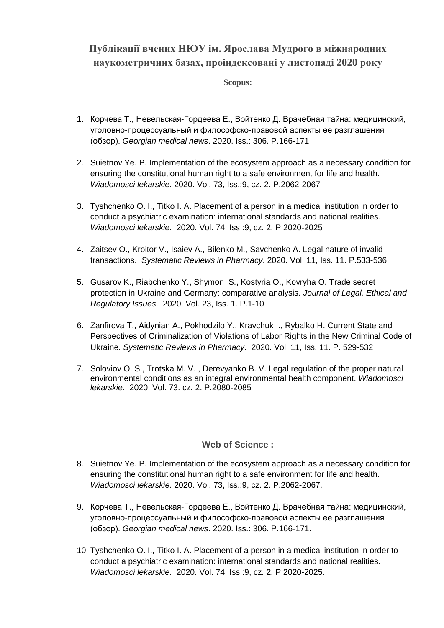## **Публікації вчених НЮУ ім. Ярослава Мудрого в міжнародних наукометричних базах, проіндексовані у листопаді 2020 року**

**Scopus:**

- 1. Корчева T., Невельская-Гордеева Е., Войтенко Д. Врачебная тайна: медицинский, уголовно-процессуальный и философско-правовой аспекты ее разглашения (обзор). *Georgian medical news*. 2020. Iss.: 306. P.166-171
- 2. Suietnov Ye. P. Implementation of the ecosystem approach as a necessary condition for ensuring the constitutional human right to a safe environment for life and health. *Wiadomosci lekarskie*. 2020. Vol. 73, Iss.:9, cz. 2. P.2062-2067
- 3. Tyshchenko O. I., Titko I. A. Placement of a person in a medical institution in order to conduct a psychiatric examination: international standards and national realities. *Wiadomosci lekarskie*. 2020. Vol. 74, Iss.:9, cz. 2. P.2020-2025
- 4. Zaitsev O., Kroitor V., Isaiev A., Bilenko M., Savchenko A. Legal nature of invalid transactions. *Systematic Reviews in Pharmacy*. 2020. Vol. 11, Iss. 11. Р.533-536
- 5. Gusarov K., Riabchenko Y., Shymon S., Kostyria O., Kovryha O. Trade secret protection in Ukraine and Germany: comparative analysis. *Journal of Legal, Ethical and Regulatory Issues*. 2020. Vol. 23, Iss. 1. P.1-10
- 6. Zanfirova Т., Aidynian A., Pokhodzilo Y., Kravchuk I., Rybalko H. Current State and Perspectives of Criminalization of Violations of Labor Rights in the New Criminal Code of Ukraine. *Systematic Reviews in Pharmacy*. 2020. Vol. 11, Iss. 11. Р. 529-532
- 7. Soloviov O. S., Trotska M. V. , Derevyanko B. V. Legal regulation of the proper natural environmental conditions as an integral environmental health component. *Wiadomosci lekarskie.* 2020. Vol. 73. cz. 2. P.2080-2085

## **Web of Science :**

- 8. Suietnov Ye. P. Implementation of the ecosystem approach as a necessary condition for ensuring the constitutional human right to a safe environment for life and health. *Wiadomosci lekarskie*. 2020. Vol. 73, Iss.:9, cz. 2. P.2062-2067.
- 9. Корчева T., Невельская-Гордеева Е., Войтенко Д. Врачебная тайна: медицинский, уголовно-процессуальный и философско-правовой аспекты ее разглашения (обзор). *Georgian medical news*. 2020. Iss.: 306. P.166-171.
- 10. Tyshchenko O. I., Titko I. A. Placement of a person in a medical institution in order to conduct a psychiatric examination: international standards and national realities. *Wiadomosci lekarskie*. 2020. Vol. 74, Iss.:9, cz. 2. P.2020-2025.